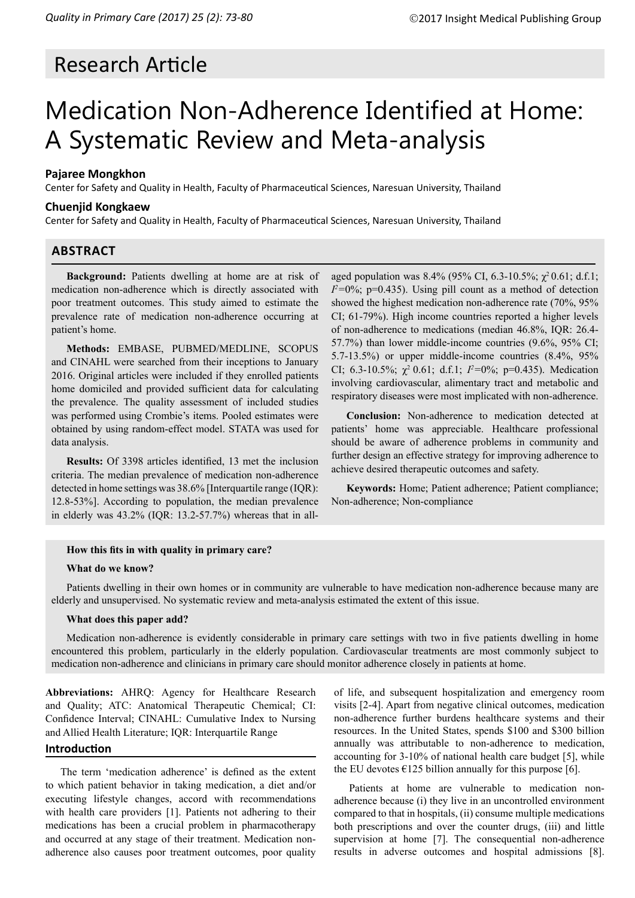# Research Article

# Medication Non-Adherence Identified at Home: A Systematic Review and Meta-analysis

# **Pajaree Mongkhon**

Center for Safety and Quality in Health, Faculty of Pharmaceutical Sciences, Naresuan University, Thailand

# **Chuenjid Kongkaew**

Center for Safety and Quality in Health, Faculty of Pharmaceutical Sciences, Naresuan University, Thailand

# **ABSTRACT**

**Background:** Patients dwelling at home are at risk of medication non-adherence which is directly associated with poor treatment outcomes. This study aimed to estimate the prevalence rate of medication non-adherence occurring at patient's home.

**Methods:** EMBASE, PUBMED/MEDLINE, SCOPUS and CINAHL were searched from their inceptions to January 2016. Original articles were included if they enrolled patients home domiciled and provided sufficient data for calculating the prevalence. The quality assessment of included studies was performed using Crombie's items. Pooled estimates were obtained by using random-effect model. STATA was used for data analysis.

**Results:** Of 3398 articles identified, 13 met the inclusion criteria. The median prevalence of medication non-adherence detected in home settings was 38.6% [Interquartile range (IQR): 12.8-53%]. According to population, the median prevalence in elderly was 43.2% (IQR: 13.2-57.7%) whereas that in allaged population was  $8.4\%$  (95% CI, 6.3-10.5%;  $\chi^2$  0.61; d.f.1;  $I^2$ =0%; p=0.435). Using pill count as a method of detection showed the highest medication non-adherence rate (70%, 95% CI; 61-79%). High income countries reported a higher levels of non-adherence to medications (median 46.8%, IQR: 26.4- 57.7%) than lower middle-income countries (9.6%, 95% CI; 5.7-13.5%) or upper middle-income countries (8.4%, 95% CI; 6.3-10.5%;  $\chi^2$  0.61; d.f.1;  $I^2=0\%$ ; p=0.435). Medication involving cardiovascular, alimentary tract and metabolic and respiratory diseases were most implicated with non-adherence.

**Conclusion:** Non-adherence to medication detected at patients' home was appreciable. Healthcare professional should be aware of adherence problems in community and further design an effective strategy for improving adherence to achieve desired therapeutic outcomes and safety.

**Keywords:** Home; Patient adherence; Patient compliance; Non-adherence; Non-compliance

#### **How this fits in with quality in primary care?**

#### **What do we know?**

Patients dwelling in their own homes or in community are vulnerable to have medication non-adherence because many are elderly and unsupervised. No systematic review and meta-analysis estimated the extent of this issue.

#### **What does this paper add?**

Medication non-adherence is evidently considerable in primary care settings with two in five patients dwelling in home encountered this problem, particularly in the elderly population. Cardiovascular treatments are most commonly subject to medication non-adherence and clinicians in primary care should monitor adherence closely in patients at home.

**Abbreviations:** AHRQ: Agency for Healthcare Research and Quality; ATC: Anatomical Therapeutic Chemical; CI: Confidence Interval; CINAHL: Cumulative Index to Nursing and Allied Health Literature; IQR: Interquartile Range

#### **Introduction**

The term 'medication adherence' is defined as the extent to which patient behavior in taking medication, a diet and/or executing lifestyle changes, accord with recommendations with health care providers [1]. Patients not adhering to their medications has been a crucial problem in pharmacotherapy and occurred at any stage of their treatment. Medication nonadherence also causes poor treatment outcomes, poor quality of life, and subsequent hospitalization and emergency room visits [2-4]. Apart from negative clinical outcomes, medication non-adherence further burdens healthcare systems and their resources. In the United States, spends \$100 and \$300 billion annually was attributable to non-adherence to medication, accounting for 3-10% of national health care budget [5], while the EU devotes  $\epsilon$ 125 billion annually for this purpose [6].

Patients at home are vulnerable to medication nonadherence because (i) they live in an uncontrolled environment compared to that in hospitals, (ii) consume multiple medications both prescriptions and over the counter drugs, (iii) and little supervision at home [7]. The consequential non-adherence results in adverse outcomes and hospital admissions [8].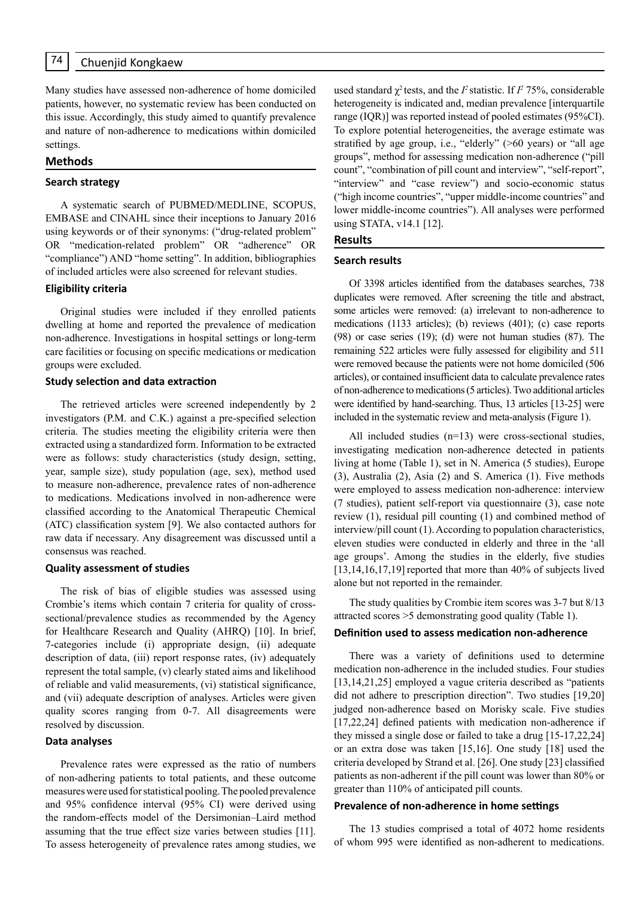Many studies have assessed non-adherence of home domiciled patients, however, no systematic review has been conducted on this issue. Accordingly, this study aimed to quantify prevalence and nature of non-adherence to medications within domiciled settings.

#### **Methods**

#### **Search strategy**

A systematic search of PUBMED/MEDLINE, SCOPUS, EMBASE and CINAHL since their inceptions to January 2016 using keywords or of their synonyms: ("drug-related problem" OR "medication-related problem" OR "adherence" OR "compliance") AND "home setting". In addition, bibliographies of included articles were also screened for relevant studies.

#### **Eligibility criteria**

Original studies were included if they enrolled patients dwelling at home and reported the prevalence of medication non-adherence. Investigations in hospital settings or long-term care facilities or focusing on specific medications or medication groups were excluded.

#### **Study selection and data extraction**

The retrieved articles were screened independently by 2 investigators (P.M. and C.K.) against a pre-specified selection criteria. The studies meeting the eligibility criteria were then extracted using a standardized form. Information to be extracted were as follows: study characteristics (study design, setting, year, sample size), study population (age, sex), method used to measure non-adherence, prevalence rates of non-adherence to medications. Medications involved in non-adherence were classified according to the Anatomical Therapeutic Chemical (ATC) classification system [9]. We also contacted authors for raw data if necessary. Any disagreement was discussed until a consensus was reached.

#### **Quality assessment of studies**

The risk of bias of eligible studies was assessed using Crombie's items which contain 7 criteria for quality of crosssectional/prevalence studies as recommended by the Agency for Healthcare Research and Quality (AHRQ) [10]. In brief, 7-categories include (i) appropriate design, (ii) adequate description of data, (iii) report response rates, (iv) adequately represent the total sample, (v) clearly stated aims and likelihood of reliable and valid measurements, (vi) statistical significance, and (vii) adequate description of analyses. Articles were given quality scores ranging from 0-7. All disagreements were resolved by discussion.

#### **Data analyses**

Prevalence rates were expressed as the ratio of numbers of non-adhering patients to total patients, and these outcome measures were used for statistical pooling. The pooled prevalence and 95% confidence interval (95% CI) were derived using the random-effects model of the Dersimonian–Laird method assuming that the true effect size varies between studies [11]. To assess heterogeneity of prevalence rates among studies, we

used standard  $\chi^2$  tests, and the *I*<sup>2</sup> statistic. If *I*<sup>2</sup> 75%, considerable heterogeneity is indicated and, median prevalence [interquartile range (IQR)] was reported instead of pooled estimates (95%CI). To explore potential heterogeneities, the average estimate was stratified by age group, i.e., "elderly" (>60 years) or "all age groups", method for assessing medication non-adherence ("pill count", "combination of pill count and interview", "self-report", "interview" and "case review") and socio-economic status ("high income countries", "upper middle-income countries" and lower middle-income countries"). All analyses were performed using STATA, v14.1 [12].

#### **Results**

#### **Search results**

Of 3398 articles identified from the databases searches, 738 duplicates were removed. After screening the title and abstract, some articles were removed: (a) irrelevant to non-adherence to medications (1133 articles); (b) reviews (401); (c) case reports (98) or case series (19); (d) were not human studies (87). The remaining 522 articles were fully assessed for eligibility and 511 were removed because the patients were not home domiciled (506 articles), or contained insufficient data to calculate prevalence rates of non-adherence to medications (5 articles). Two additional articles were identified by hand-searching. Thus, 13 articles [13-25] were included in the systematic review and meta-analysis (Figure 1).

All included studies (n=13) were cross-sectional studies, investigating medication non-adherence detected in patients living at home (Table 1), set in N. America (5 studies), Europe (3), Australia (2), Asia (2) and S. America (1). Five methods were employed to assess medication non-adherence: interview (7 studies), patient self-report via questionnaire (3), case note review (1), residual pill counting (1) and combined method of interview/pill count (1). According to population characteristics, eleven studies were conducted in elderly and three in the 'all age groups'. Among the studies in the elderly, five studies [13,14,16,17,19] reported that more than 40% of subjects lived alone but not reported in the remainder.

The study qualities by Crombie item scores was 3-7 but 8/13 attracted scores >5 demonstrating good quality (Table 1).

#### **Definition used to assess medication non-adherence**

There was a variety of definitions used to determine medication non-adherence in the included studies. Four studies [13,14,21,25] employed a vague criteria described as "patients" did not adhere to prescription direction". Two studies [19,20] judged non-adherence based on Morisky scale. Five studies [17,22,24] defined patients with medication non-adherence if they missed a single dose or failed to take a drug [15-17,22,24] or an extra dose was taken [15,16]. One study [18] used the criteria developed by Strand et al. [26]. One study [23] classified patients as non-adherent if the pill count was lower than 80% or greater than 110% of anticipated pill counts.

#### **Prevalence of non-adherence in home settings**

The 13 studies comprised a total of 4072 home residents of whom 995 were identified as non-adherent to medications.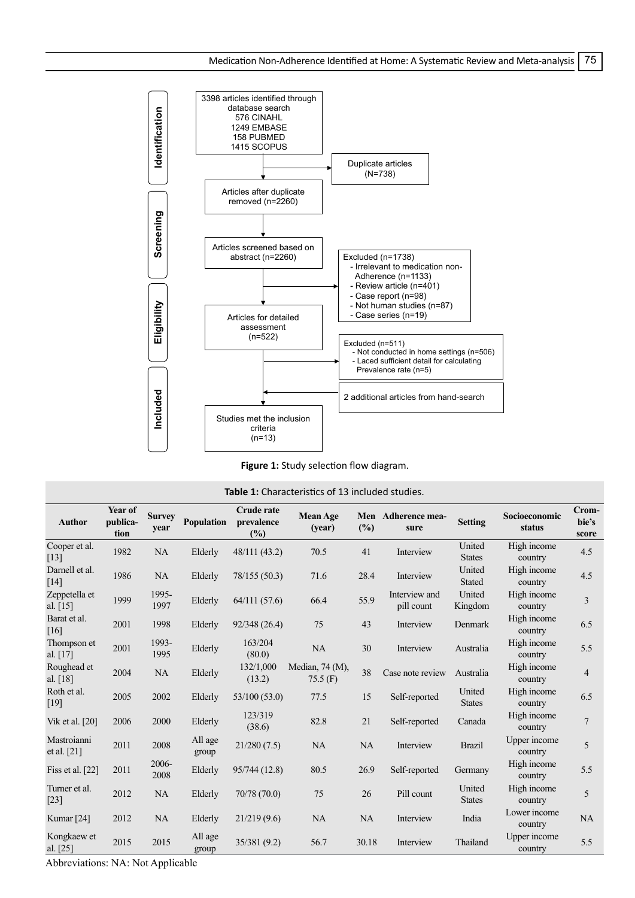

**Figure 1:** Study selection flow diagram.

| <b>Table 1:</b> Characteristics of 13 included studies. |                             |                       |                   |                                           |                               |       |                             |                         |                         |                         |
|---------------------------------------------------------|-----------------------------|-----------------------|-------------------|-------------------------------------------|-------------------------------|-------|-----------------------------|-------------------------|-------------------------|-------------------------|
| <b>Author</b>                                           | Year of<br>publica-<br>tion | <b>Survey</b><br>year | <b>Population</b> | <b>Crude rate</b><br>prevalence<br>$(\%)$ | <b>Mean Age</b><br>(year)     | (%)   | Men Adherence mea-<br>sure  | <b>Setting</b>          | Socioeconomic<br>status | Crom-<br>bie's<br>score |
| Cooper et al.<br>$[13]$                                 | 1982                        | <b>NA</b>             | Elderly           | 48/111 (43.2)                             | 70.5                          | 41    | Interview                   | United<br><b>States</b> | High income<br>country  | 4.5                     |
| Darnell et al.<br>[14]                                  | 1986                        | <b>NA</b>             | Elderly           | 78/155 (50.3)                             | 71.6                          | 28.4  | Interview                   | United<br><b>Stated</b> | High income<br>country  | 4.5                     |
| Zeppetella et<br>al. [15]                               | 1999                        | 1995-<br>1997         | Elderly           | 64/111(57.6)                              | 66.4                          | 55.9  | Interview and<br>pill count | United<br>Kingdom       | High income<br>country  | $\overline{3}$          |
| Barat et al.<br>[16]                                    | 2001                        | 1998                  | Elderly           | 92/348 (26.4)                             | 75                            | 43    | Interview                   | Denmark                 | High income<br>country  | 6.5                     |
| Thompson et<br>al. $[17]$                               | 2001                        | 1993-<br>1995         | Elderly           | 163/204<br>(80.0)                         | NA                            | 30    | Interview                   | Australia               | High income<br>country  | 5.5                     |
| Roughead et<br>al. [18]                                 | 2004                        | <b>NA</b>             | Elderly           | 132/1,000<br>(13.2)                       | Median, 74 (M),<br>$75.5$ (F) | 38    | Case note review            | Australia               | High income<br>country  | $\overline{4}$          |
| Roth et al.<br>$[19]$                                   | 2005                        | 2002                  | Elderly           | 53/100 (53.0)                             | 77.5                          | 15    | Self-reported               | United<br><b>States</b> | High income<br>country  | 6.5                     |
| Vik et al. [20]                                         | 2006                        | 2000                  | Elderly           | 123/319<br>(38.6)                         | 82.8                          | 21    | Self-reported               | Canada                  | High income<br>country  | $\overline{7}$          |
| Mastroianni<br>et al. [21]                              | 2011                        | 2008                  | All age<br>group  | 21/280(7.5)                               | <b>NA</b>                     | NA    | Interview                   | <b>Brazil</b>           | Upper income<br>country | 5                       |
| Fiss et al. $[22]$                                      | 2011                        | 2006-<br>2008         | Elderly           | 95/744 (12.8)                             | 80.5                          | 26.9  | Self-reported               | Germany                 | High income<br>country  | 5.5                     |
| Turner et al.<br>$[23]$                                 | 2012                        | <b>NA</b>             | Elderly           | 70/78 (70.0)                              | 75                            | 26    | Pill count                  | United<br><b>States</b> | High income<br>country  | 5                       |
| Kumar $[24]$                                            | 2012                        | NA                    | Elderly           | 21/219(9.6)                               | <b>NA</b>                     | NA    | Interview                   | India                   | Lower income<br>country | NA                      |
| Kongkaew et<br>al. [25]                                 | 2015                        | 2015                  | All age<br>group  | 35/381 (9.2)                              | 56.7                          | 30.18 | Interview                   | Thailand                | Upper income<br>country | 5.5                     |

Abbreviations: NA: Not Applicable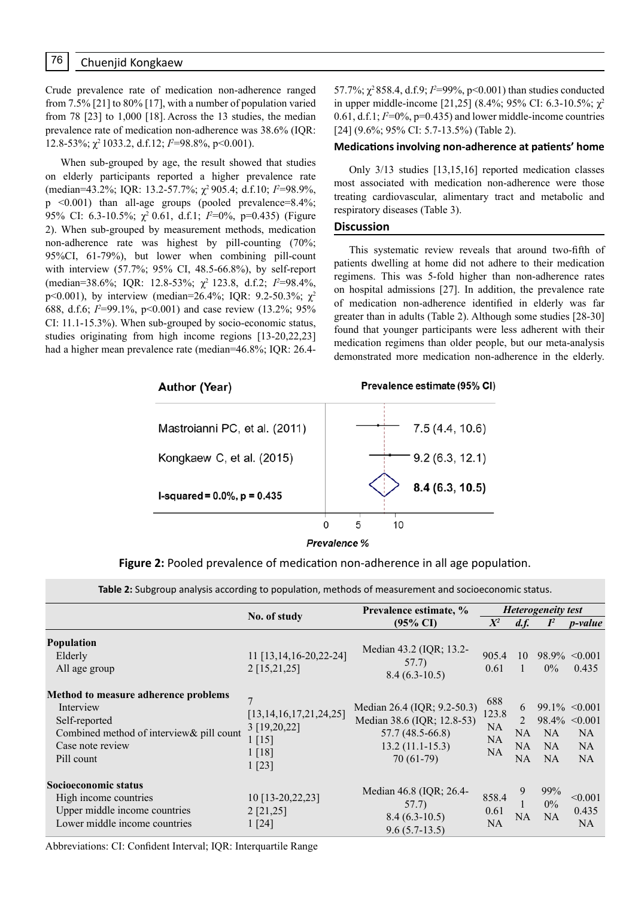Crude prevalence rate of medication non-adherence ranged from 7.5% [21] to 80% [17], with a number of population varied from 78 [23] to 1,000 [18]. Across the 13 studies, the median prevalence rate of medication non-adherence was 38.6% (IQR: 12.8-53%;  $\chi^2$  1033.2, d.f.12; *I*<sup>2</sup>=98.8%, p<0.001).

When sub-grouped by age, the result showed that studies on elderly participants reported a higher prevalence rate (median=43.2%; IQR: 13.2-57.7%; χ2 905.4; d.f.10; *I 2* =98.9%, p <0.001) than all-age groups (pooled prevalence=8.4%; 95% CI: 6.3-10.5%;  $\chi^2$  0.61, d.f.1; *I*<sup>2</sup>=0%, p=0.435) (Figure 2). When sub-grouped by measurement methods, medication non-adherence rate was highest by pill-counting (70%; 95%CI, 61-79%), but lower when combining pill-count with interview (57.7%; 95% CI, 48.5-66.8%), by self-report (median=38.6%; IQR: 12.8-53%;  $\chi^2$  123.8, d.f.2; *I*<sup>2</sup>=98.4%, p<0.001), by interview (median=26.4%; IQR: 9.2-50.3%;  $χ²$ 688, d.f.6;  $I^2$ =99.1%, p<0.001) and case review (13.2%; 95% CI: 11.1-15.3%). When sub-grouped by socio-economic status, studies originating from high income regions [13-20,22,23] had a higher mean prevalence rate (median=46.8%; IQR: 26.4-

57.7%;  $\chi^2$ 858.4, d.f.9;  $I^2$ =99%, p<0.001) than studies conducted in upper middle-income [21,25] (8.4%; 95% CI: 6.3-10.5%; χ<sup>2</sup> 0.61, d.f.1;  $I^2=0\%$ ,  $p=0.435$ ) and lower middle-income countries [24] (9.6%; 95% CI: 5.7-13.5%) (Table 2).

# **Medications involving non-adherence at patients' home**

Only 3/13 studies [13,15,16] reported medication classes most associated with medication non-adherence were those treating cardiovascular, alimentary tract and metabolic and respiratory diseases (Table 3).

#### **Discussion**

This systematic review reveals that around two-fifth of patients dwelling at home did not adhere to their medication regimens. This was 5-fold higher than non-adherence rates on hospital admissions [27]. In addition, the prevalence rate of medication non-adherence identified in elderly was far greater than in adults (Table 2). Although some studies [28-30] found that younger participants were less adherent with their medication regimens than older people, but our meta-analysis demonstrated more medication non-adherence in the elderly.



**Figure 2:** Pooled prevalence of medication non-adherence in all age population.

| Table 2: Subgroup analysis according to population, methods of measurement and socioeconomic status. |  |
|------------------------------------------------------------------------------------------------------|--|
|------------------------------------------------------------------------------------------------------|--|

|                                                                                                                                                   |                                                                                                   | Prevalence estimate, %                                                                                             | <b>Heterogeneity test</b>                           |                          |                                     |                                                                           |
|---------------------------------------------------------------------------------------------------------------------------------------------------|---------------------------------------------------------------------------------------------------|--------------------------------------------------------------------------------------------------------------------|-----------------------------------------------------|--------------------------|-------------------------------------|---------------------------------------------------------------------------|
|                                                                                                                                                   | No. of study                                                                                      | $(95\% \text{ CI})$                                                                                                | $X^2$                                               | d.f.                     | $I^2$                               | <i>p</i> -value                                                           |
| <b>Population</b><br>Elderly<br>All age group                                                                                                     | 11 [13,14,16-20,22-24]<br>$2$ [15,21,25]                                                          | Median 43.2 (IQR; 13.2-<br>57.7)<br>$8.4(6.3-10.5)$                                                                | 905.4<br>0.61                                       | 10<br>1                  | $0\%$                               | $98.9\% \le 0.001$<br>0.435                                               |
| Method to measure adherence problems<br>Interview<br>Self-reported<br>Combined method of interview & pill count<br>Case note review<br>Pill count | $\overline{7}$<br>[13, 14, 16, 17, 21, 24, 25]<br>3 [19,20,22]<br>$1 \, [15]$<br>1 [18]<br>1 [23] | Median 26.4 (IQR; 9.2-50.3)<br>Median 38.6 (IQR; 12.8-53)<br>$57.7(48.5-66.8)$<br>$13.2(11.1-15.3)$<br>$70(61-79)$ | 688<br>123.8<br><b>NA</b><br><b>NA</b><br><b>NA</b> | 6<br>2<br>NA<br>NA<br>NA | <b>NA</b><br><b>NA</b><br><b>NA</b> | $99.1\% \le 0.001$<br>$98.4\% \leq 0.001$<br><b>NA</b><br><b>NA</b><br>NA |
| Socioeconomic status<br>High income countries<br>Upper middle income countries<br>Lower middle income countries                                   | 10 [13-20, 22, 23]<br>2[21,25]<br>1 [24]                                                          | Median 46.8 (IQR; 26.4-<br>57.7)<br>$8.4(6.3-10.5)$<br>$9.6(5.7-13.5)$                                             | 858.4<br>0.61<br><b>NA</b>                          | 9<br>NA.                 | 99%<br>0%<br><b>NA</b>              | < 0.001<br>0.435<br>NA.                                                   |

Abbreviations: CI: Confident Interval; IQR: Interquartile Range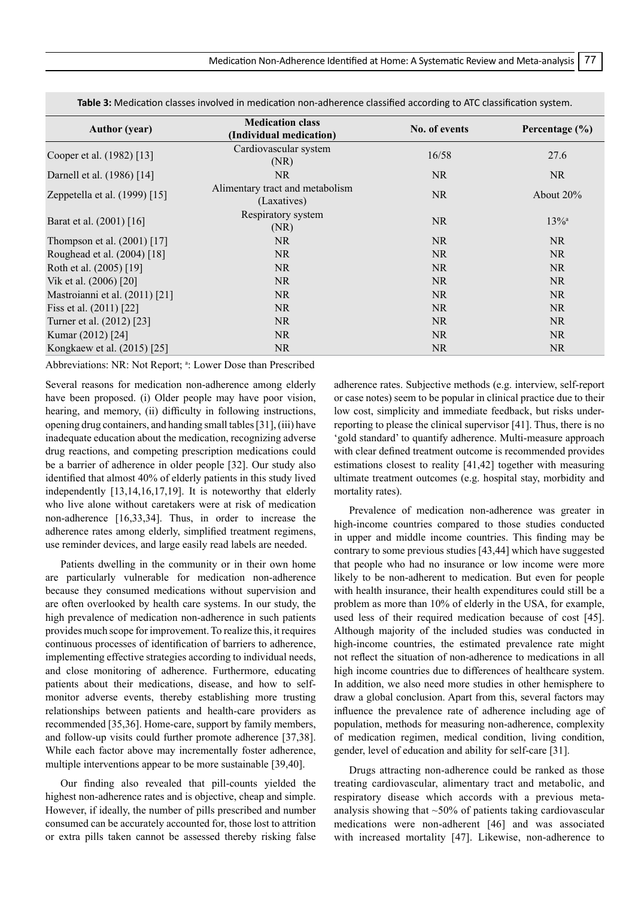| <b>Author</b> (year)           | <b>Medication class</b><br>(Individual medication) | No. of events | Percentage $(\% )$  |  |
|--------------------------------|----------------------------------------------------|---------------|---------------------|--|
| Cooper et al. (1982) [13]      | Cardiovascular system<br>(NR)                      | 16/58         | 27.6                |  |
| Darnell et al. (1986) [14]     | NR.                                                | <b>NR</b>     | <b>NR</b>           |  |
| Zeppetella et al. (1999) [15]  | Alimentary tract and metabolism<br>(Laxatives)     | <b>NR</b>     | About $20\%$        |  |
| Barat et al. (2001) [16]       | Respiratory system<br>(NR)                         | <b>NR</b>     | $13\%$ <sup>a</sup> |  |
| Thompson et al. $(2001)$ [17]  | NR.                                                | <b>NR</b>     | <b>NR</b>           |  |
| Roughead et al. (2004) [18]    | NR.                                                | <b>NR</b>     | <b>NR</b>           |  |
| Roth et al. (2005) [19]        | NR.                                                | <b>NR</b>     | <b>NR</b>           |  |
| Vik et al. (2006) [20]         | NR.                                                | <b>NR</b>     | <b>NR</b>           |  |
| Mastroianni et al. (2011) [21] | NR.                                                | <b>NR</b>     | <b>NR</b>           |  |
| Fiss et al. $(2011)$ [22]      | NR.                                                | <b>NR</b>     | <b>NR</b>           |  |
| Turner et al. (2012) [23]      | NR.                                                | <b>NR</b>     | NR.                 |  |
| Kumar (2012) [24]              | NR.                                                | <b>NR</b>     | NR                  |  |
| Kongkaew et al. (2015) [25]    | NR.                                                | NR.           | NR.                 |  |

**Table 3:** Medication classes involved in medication non-adherence classified according to ATC classification system.

Abbreviations: NR: Not Report; <sup>a</sup>: Lower Dose than Prescribed

Several reasons for medication non-adherence among elderly have been proposed. (i) Older people may have poor vision, hearing, and memory, (ii) difficulty in following instructions, opening drug containers, and handing small tables [31], (iii) have inadequate education about the medication, recognizing adverse drug reactions, and competing prescription medications could be a barrier of adherence in older people [32]. Our study also identified that almost 40% of elderly patients in this study lived independently [13,14,16,17,19]. It is noteworthy that elderly who live alone without caretakers were at risk of medication non-adherence [16,33,34]. Thus, in order to increase the adherence rates among elderly, simplified treatment regimens, use reminder devices, and large easily read labels are needed.

Patients dwelling in the community or in their own home are particularly vulnerable for medication non-adherence because they consumed medications without supervision and are often overlooked by health care systems. In our study, the high prevalence of medication non-adherence in such patients provides much scope for improvement. To realize this, it requires continuous processes of identification of barriers to adherence, implementing effective strategies according to individual needs, and close monitoring of adherence. Furthermore, educating patients about their medications, disease, and how to selfmonitor adverse events, thereby establishing more trusting relationships between patients and health-care providers as recommended [35,36]. Home-care, support by family members, and follow-up visits could further promote adherence [37,38]. While each factor above may incrementally foster adherence, multiple interventions appear to be more sustainable [39,40].

Our finding also revealed that pill-counts yielded the highest non-adherence rates and is objective, cheap and simple. However, if ideally, the number of pills prescribed and number consumed can be accurately accounted for, those lost to attrition or extra pills taken cannot be assessed thereby risking false

adherence rates. Subjective methods (e.g. interview, self-report or case notes) seem to be popular in clinical practice due to their low cost, simplicity and immediate feedback, but risks underreporting to please the clinical supervisor [41]. Thus, there is no 'gold standard' to quantify adherence. Multi-measure approach with clear defined treatment outcome is recommended provides estimations closest to reality [41,42] together with measuring ultimate treatment outcomes (e.g. hospital stay, morbidity and mortality rates).

Prevalence of medication non-adherence was greater in high-income countries compared to those studies conducted in upper and middle income countries. This finding may be contrary to some previous studies [43,44] which have suggested that people who had no insurance or low income were more likely to be non-adherent to medication. But even for people with health insurance, their health expenditures could still be a problem as more than 10% of elderly in the USA, for example, used less of their required medication because of cost [45]. Although majority of the included studies was conducted in high-income countries, the estimated prevalence rate might not reflect the situation of non-adherence to medications in all high income countries due to differences of healthcare system. In addition, we also need more studies in other hemisphere to draw a global conclusion. Apart from this, several factors may influence the prevalence rate of adherence including age of population, methods for measuring non-adherence, complexity of medication regimen, medical condition, living condition, gender, level of education and ability for self-care [31].

Drugs attracting non-adherence could be ranked as those treating cardiovascular, alimentary tract and metabolic, and respiratory disease which accords with a previous metaanalysis showing that  $\sim$ 50% of patients taking cardiovascular medications were non-adherent [46] and was associated with increased mortality [47]. Likewise, non-adherence to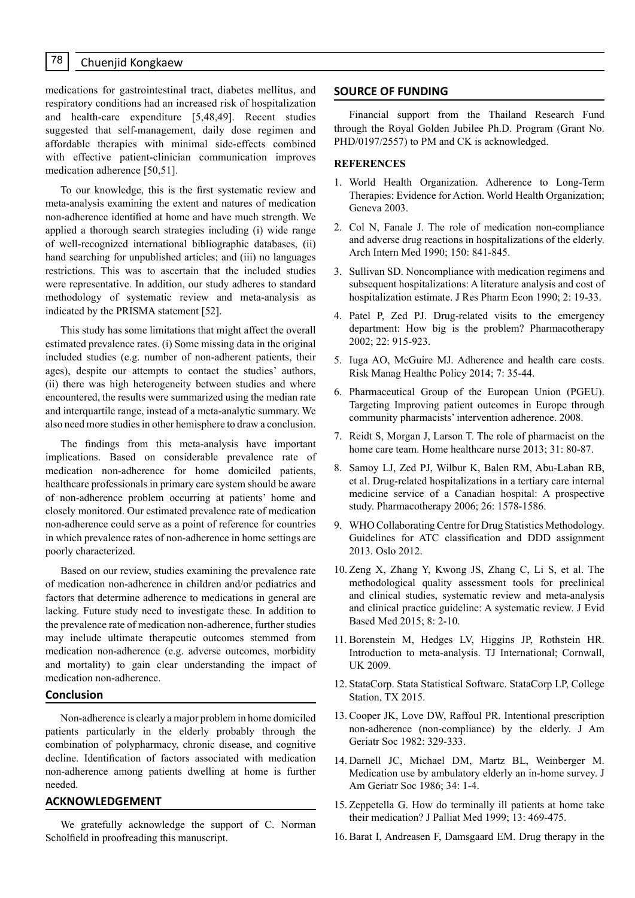medications for gastrointestinal tract, diabetes mellitus, and respiratory conditions had an increased risk of hospitalization and health-care expenditure [5,48,49]. Recent studies suggested that self-management, daily dose regimen and affordable therapies with minimal side-effects combined with effective patient-clinician communication improves medication adherence [50,51].

To our knowledge, this is the first systematic review and meta-analysis examining the extent and natures of medication non-adherence identified at home and have much strength. We applied a thorough search strategies including (i) wide range of well-recognized international bibliographic databases, (ii) hand searching for unpublished articles; and (iii) no languages restrictions. This was to ascertain that the included studies were representative. In addition, our study adheres to standard methodology of systematic review and meta-analysis as indicated by the PRISMA statement [52].

This study has some limitations that might affect the overall estimated prevalence rates. (i) Some missing data in the original included studies (e.g. number of non-adherent patients, their ages), despite our attempts to contact the studies' authors, (ii) there was high heterogeneity between studies and where encountered, the results were summarized using the median rate and interquartile range, instead of a meta-analytic summary. We also need more studies in other hemisphere to draw a conclusion.

The findings from this meta-analysis have important implications. Based on considerable prevalence rate of medication non-adherence for home domiciled patients, healthcare professionals in primary care system should be aware of non-adherence problem occurring at patients' home and closely monitored. Our estimated prevalence rate of medication non-adherence could serve as a point of reference for countries in which prevalence rates of non-adherence in home settings are poorly characterized.

Based on our review, studies examining the prevalence rate of medication non-adherence in children and/or pediatrics and factors that determine adherence to medications in general are lacking. Future study need to investigate these. In addition to the prevalence rate of medication non-adherence, further studies may include ultimate therapeutic outcomes stemmed from medication non-adherence (e.g. adverse outcomes, morbidity and mortality) to gain clear understanding the impact of medication non-adherence.

# **Conclusion**

Non-adherence is clearly a major problem in home domiciled patients particularly in the elderly probably through the combination of polypharmacy, chronic disease, and cognitive decline. Identification of factors associated with medication non-adherence among patients dwelling at home is further needed.

# **ACKNOWLEDGEMENT**

We gratefully acknowledge the support of C. Norman Scholfield in proofreading this manuscript.

#### **SOURCE OF FUNDING**

Financial support from the Thailand Research Fund through the Royal Golden Jubilee Ph.D. Program (Grant No. PHD/0197/2557) to PM and CK is acknowledged.

#### **REFERENCES**

- 1. World Health Organization. Adherence to Long-Term Therapies: Evidence for Action. World Health Organization; Geneva 2003.
- 2. Col N, Fanale J. The role of medication non-compliance and adverse drug reactions in hospitalizations of the elderly. Arch Intern Med 1990; 150: 841-845.
- 3. Sullivan SD. Noncompliance with medication regimens and subsequent hospitalizations: A literature analysis and cost of hospitalization estimate. J Res Pharm Econ 1990; 2: 19-33.
- 4. Patel P, Zed PJ. Drug-related visits to the emergency department: How big is the problem? Pharmacotherapy 2002; 22: 915-923.
- 5. Iuga AO, McGuire MJ. Adherence and health care costs. Risk Manag Healthc Policy 2014; 7: 35-44.
- 6. Pharmaceutical Group of the European Union (PGEU). Targeting Improving patient outcomes in Europe through community pharmacists' intervention adherence. 2008.
- 7. Reidt S, Morgan J, Larson T. The role of pharmacist on the home care team. Home healthcare nurse 2013; 31: 80-87.
- 8. Samoy LJ, Zed PJ, Wilbur K, Balen RM, Abu-Laban RB, et al. Drug-related hospitalizations in a tertiary care internal medicine service of a Canadian hospital: A prospective study. Pharmacotherapy 2006; 26: 1578-1586.
- 9. WHO Collaborating Centre for Drug Statistics Methodology. Guidelines for ATC classification and DDD assignment 2013. Oslo 2012.
- 10. Zeng X, Zhang Y, Kwong JS, Zhang C, Li S, et al. The methodological quality assessment tools for preclinical and clinical studies, systematic review and meta-analysis and clinical practice guideline: A systematic review. J Evid Based Med 2015; 8: 2-10.
- 11. Borenstein M, Hedges LV, Higgins JP, Rothstein HR. Introduction to meta-analysis. TJ International; Cornwall, UK 2009.
- 12. StataCorp. Stata Statistical Software. StataCorp LP, College Station, TX 2015.
- 13. Cooper JK, Love DW, Raffoul PR. Intentional prescription non-adherence (non-compliance) by the elderly. J Am Geriatr Soc 1982: 329-333.
- 14. Darnell JC, Michael DM, Martz BL, Weinberger M. Medication use by ambulatory elderly an in-home survey. J Am Geriatr Soc 1986; 34: 1-4.
- 15. Zeppetella G. How do terminally ill patients at home take their medication? J Palliat Med 1999; 13: 469-475.
- 16. Barat I, Andreasen F, Damsgaard EM. Drug therapy in the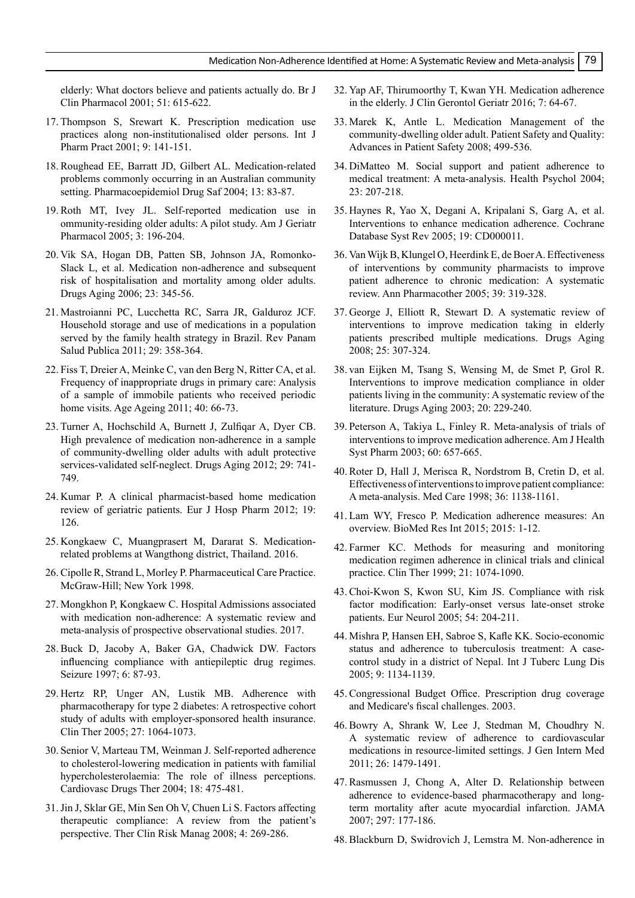elderly: What doctors believe and patients actually do. Br J Clin Pharmacol 2001; 51: 615-622.

- 17. Thompson S, Srewart K. Prescription medication use practices along non-institutionalised older persons. Int J Pharm Pract 2001; 9: 141-151.
- 18. Roughead EE, Barratt JD, Gilbert AL. Medication-related problems commonly occurring in an Australian community setting. Pharmacoepidemiol Drug Saf 2004; 13: 83-87.
- 19. Roth MT, Ivey JL. Self-reported medication use in ommunity-residing older adults: A pilot study. Am J Geriatr Pharmacol 2005; 3: 196-204.
- 20. Vik SA, Hogan DB, Patten SB, Johnson JA, Romonko-Slack L, et al. Medication non-adherence and subsequent risk of hospitalisation and mortality among older adults. Drugs Aging 2006; 23: 345-56.
- 21. Mastroianni PC, Lucchetta RC, Sarra JR, Galduroz JCF. Household storage and use of medications in a population served by the family health strategy in Brazil. Rev Panam Salud Publica 2011; 29: 358-364.
- 22. Fiss T, Dreier A, Meinke C, van den Berg N, Ritter CA, et al. Frequency of inappropriate drugs in primary care: Analysis of a sample of immobile patients who received periodic home visits. Age Ageing 2011; 40: 66-73.
- 23. Turner A, Hochschild A, Burnett J, Zulfiqar A, Dyer CB. High prevalence of medication non-adherence in a sample of community-dwelling older adults with adult protective services-validated self-neglect. Drugs Aging 2012; 29: 741- 749.
- 24. Kumar P. A clinical pharmacist-based home medication review of geriatric patients. Eur J Hosp Pharm 2012; 19: 126.
- 25. Kongkaew C, Muangprasert M, Dararat S. Medicationrelated problems at Wangthong district, Thailand. 2016.
- 26. Cipolle R, Strand L, Morley P. Pharmaceutical Care Practice. McGraw-Hill; New York 1998.
- 27. Mongkhon P, Kongkaew C. Hospital Admissions associated with medication non-adherence: A systematic review and meta-analysis of prospective observational studies. 2017.
- 28. Buck D, Jacoby A, Baker GA, Chadwick DW. Factors influencing compliance with antiepileptic drug regimes. Seizure 1997; 6: 87-93.
- 29. Hertz RP, Unger AN, Lustik MB. Adherence with pharmacotherapy for type 2 diabetes: A retrospective cohort study of adults with employer-sponsored health insurance. Clin Ther 2005; 27: 1064-1073.
- 30. Senior V, Marteau TM, Weinman J. Self-reported adherence to cholesterol-lowering medication in patients with familial hypercholesterolaemia: The role of illness perceptions. Cardiovasc Drugs Ther 2004; 18: 475-481.
- 31.Jin J, Sklar GE, Min Sen Oh V, Chuen Li S. Factors affecting therapeutic compliance: A review from the patient's perspective. Ther Clin Risk Manag 2008; 4: 269-286.
- 32. Yap AF, Thirumoorthy T, Kwan YH. Medication adherence in the elderly. J Clin Gerontol Geriatr 2016; 7: 64-67.
- 33. Marek K, Antle L. Medication Management of the community-dwelling older adult. Patient Safety and Quality: Advances in Patient Safety 2008; 499-536.
- 34. DiMatteo M. Social support and patient adherence to medical treatment: A meta-analysis. Health Psychol 2004; 23: 207-218.
- 35. Haynes R, Yao X, Degani A, Kripalani S, Garg A, et al. Interventions to enhance medication adherence. Cochrane Database Syst Rev 2005; 19: CD000011.
- 36. Van Wijk B, Klungel O, Heerdink E, de Boer A. Effectiveness of interventions by community pharmacists to improve patient adherence to chronic medication: A systematic review. Ann Pharmacother 2005; 39: 319-328.
- 37. George J, Elliott R, Stewart D. A systematic review of interventions to improve medication taking in elderly patients prescribed multiple medications. Drugs Aging 2008; 25: 307-324.
- 38. van Eijken M, Tsang S, Wensing M, de Smet P, Grol R. Interventions to improve medication compliance in older patients living in the community: A systematic review of the literature. Drugs Aging 2003; 20: 229-240.
- 39. Peterson A, Takiya L, Finley R. Meta-analysis of trials of interventions to improve medication adherence. Am J Health Syst Pharm 2003; 60: 657-665.
- 40. Roter D, Hall J, Merisca R, Nordstrom B, Cretin D, et al. Effectiveness of interventions to improve patient compliance: A meta-analysis. Med Care 1998; 36: 1138-1161.
- 41. Lam WY, Fresco P. Medication adherence measures: An overview. BioMed Res Int 2015; 2015: 1-12.
- 42. Farmer KC. Methods for measuring and monitoring medication regimen adherence in clinical trials and clinical practice. Clin Ther 1999; 21: 1074-1090.
- 43. Choi-Kwon S, Kwon SU, Kim JS. Compliance with risk factor modification: Early-onset versus late-onset stroke patients. Eur Neurol 2005; 54: 204-211.
- 44. Mishra P, Hansen EH, Sabroe S, Kafle KK. Socio-economic status and adherence to tuberculosis treatment: A casecontrol study in a district of Nepal. Int J Tuberc Lung Dis 2005; 9: 1134-1139.
- 45. Congressional Budget Office. Prescription drug coverage and Medicare's fiscal challenges. 2003.
- 46. Bowry A, Shrank W, Lee J, Stedman M, Choudhry N. A systematic review of adherence to cardiovascular medications in resource-limited settings. J Gen Intern Med 2011; 26: 1479-1491.
- 47. Rasmussen J, Chong A, Alter D. Relationship between adherence to evidence-based pharmacotherapy and longterm mortality after acute myocardial infarction. JAMA 2007; 297: 177-186.
- 48. Blackburn D, Swidrovich J, Lemstra M. Non-adherence in